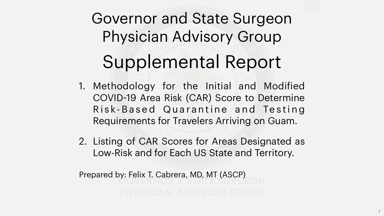# Governor and State Surgeon Physician Advisory Group Supplemental Report

1. Methodology for the Initial and Modified COVID-19 Area Risk (CAR) Score to Determine Risk-Based Quarantine and Testing Requirements for Travelers Arriving on Guam.

2. Listing of CAR Scores for Areas Designated as Low-Risk and for Each US State and Territory.

- 
- 
- Prepared by: Felix T. Cabrera, MD, MT (ASCP)

1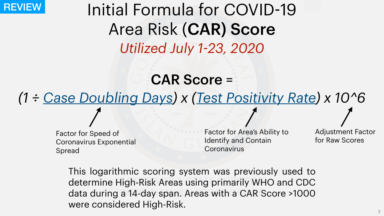CAR Score = *(1 ÷ Case Doubling Days) x (Test Positivity Rate) x 10^6*

# Initial Formula for COVID-19 Area Risk (CAR) Score *Utilized July 1-23, 2020*

determine High-Risk Areas using primarily WHO and CDC data during a 14-day span. Areas with a CAR Score >1000 This logarithmic scoring system was previously used to were considered High-Risk.

Factor for Area's Ability to Identify and Contain **Coronavirus** 

Factor for Speed of Coronavirus Exponential Spread

Adjustment Factor for Raw Scores





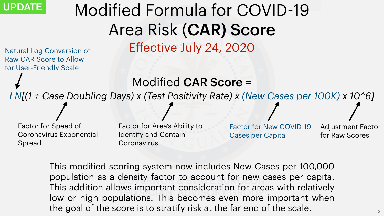# Modified Formula for COVID-19 Area Risk (CAR) Score Effective July 24, 2020

Factor for Area's Ability to Identify and Contain **Coronavirus** 

Modified CAR Score = *LN[(1 ÷ Case Doubling Days) x (Test Positivity Rate) x (New Cases per 100K) x 10^6]*

Factor for Speed of Coronavirus Exponential Spread

Adjustment Factor for Raw Scores



Gensity factor to account for new c WS IMpulant cunsiudiation for are This modified scoring system now includes New Cases per 100,000 population as a density factor to account for new cases per capita. This addition allows important consideration for areas with relatively low or high populations. This becomes even more important when the goal of the score is to stratify risk at the far end of the scale.

Factor for New COVID-19 Cases per Capita

Natural Log Conversion of Raw CAR Score to Allow for User-Friendly Scale

# UPDATE

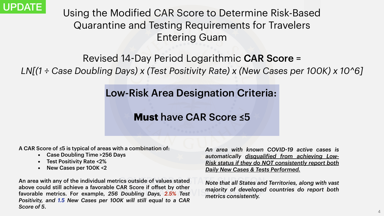*An area with known COVID-19 active cases is automatically disqualified from achieving Low-Risk status if they do NOT consistently report both Daily New Cases & Tests Performed.* 

*Note that all States and Territories, along with vast majority of developed countries do report both metrics consistently.* 



- Case Doubling Time >256 Days
- Test Positivity Rate <2%
- New Cases per 100K <2

Using the Modified CAR Score to Determine Risk-Based Quarantine and Testing Requirements for Travelers Entering Guam

Revised 14-Day Period Logarithmic CAR Score = *LN[(1 ÷ Case Doubling Days) x (Test Positivity Rate) x (New Cases per 100K) x 10^6]*

The soutside of values stated Note that all States and above could still achieve a favorable OAR Score II onset by Other majority of developed<br>favorable metrics. For example, 256 Doubling Days, 2.5% Test metrics consistently. An area with any of the individual metrics outside of values stated above could still achieve a favorable CAR Score if offset by other *Positivity, and 1.5 New Cases per 100K will still equal to a CAR Score of 5*.

# Low-Risk Area Designation Criteria:

**Must** have CAR Score ≤5

A CAR Score of ≤5 is typical of areas with a combination of:



- 
- 

4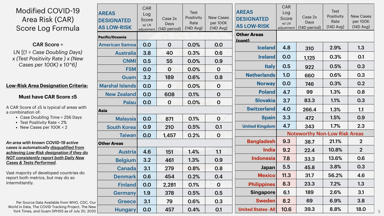- Case Doubling Time > 256 Days
- Test Positivity Rate < 2%
- New Cases per 100K < 2



| Modified COVID-19<br>Area Risk (CAR)<br>Score Log Formula                                             | <b>AREAS</b><br><b>DESIGNATED</b><br><b>AS LOW-RISK</b> | CAR<br>Log<br>Score<br>w/LN            | Case 2x<br>Days<br>adjustment (14D period) | <b>Test</b><br>Positivity<br>Rate<br>(14D Avg) | <b>New Cases</b><br>per 100K<br>$(14D$ Avg) | <b>AREAS</b><br><b>DESIGNATED</b><br><b>AS LOW-RISK</b> | <b>CAR</b><br>Log<br>Score<br>w/LN<br>adjustment | Case 2x<br><b>Days</b><br>(14D period) | <b>Test</b><br>Positivity<br>Rate<br>$(14D \,Avg)$ | <b>New Cases</b><br>per 100K<br>$(14D \,Avg)$ |
|-------------------------------------------------------------------------------------------------------|---------------------------------------------------------|----------------------------------------|--------------------------------------------|------------------------------------------------|---------------------------------------------|---------------------------------------------------------|--------------------------------------------------|----------------------------------------|----------------------------------------------------|-----------------------------------------------|
|                                                                                                       | <b>Pacific/Oceania</b>                                  |                                        |                                            | <b>Other Areas</b><br>$ _{\text{(cont)}}$      |                                             |                                                         |                                                  |                                        |                                                    |                                               |
| <b>CAR Score =</b>                                                                                    | <b>American Samoa</b>                                   | 0.0                                    | $\overline{O}$                             | 0.0%                                           | 0.0                                         | <b>Iceland</b>                                          | 4.8                                              | 310                                    | 2.9%                                               | 1.3                                           |
| $LN$ [(1 ÷ Case Doubling Days)                                                                        | <b>Australia</b>                                        | 3.8                                    | 40                                         | 0.3%                                           | 0.6                                         | <b>Ireland</b>                                          | 0.0                                              |                                        | 0.3%                                               | 0.1                                           |
| x (Test Positivity Rate) x (New<br>Cases per 100K) x 10^61                                            | <b>CNMI</b>                                             | 0.5                                    | 55                                         | 0.0%                                           | 0.9                                         |                                                         |                                                  | 1,125                                  |                                                    |                                               |
|                                                                                                       | <b>FSM</b>                                              | 0.0                                    | $\overline{0}$                             | 0.0%                                           | $\overline{O}$                              | <b>Italy</b>                                            | 0.5                                              | 922                                    | 0.5%                                               | 0.3                                           |
|                                                                                                       | Guam                                                    | 3.2                                    | 189                                        | 0.6%                                           | 0.8                                         | <b>Netherlands</b>                                      | 1.0                                              | 660                                    | 0.6%                                               | 0.3                                           |
| w-Risk Area Designation Criteria:                                                                     | <b>Marshal Islands</b>                                  | 0.0                                    | $\overline{0}$                             | 0.0%                                           | $\overline{O}$                              | <b>Norway</b>                                           | 0.0                                              | 746                                    | 0.3%                                               | 0.2                                           |
| Must have CAR Score ≤5                                                                                | <b>New Zealand</b>                                      | 0.0                                    | 608                                        | 0.1%                                           | $\mathbf 0$                                 | <b>Poland</b>                                           | 4.7                                              | 99                                     | 1.3%                                               | 0.8                                           |
|                                                                                                       | Palau                                                   | 0.0                                    | $\overline{O}$                             | 0.0%                                           | $\overline{O}$                              | <b>Slovakia</b>                                         | 3.7                                              | 83.3                                   | 1.1%                                               | 0.3                                           |
| CAR Score of $\leq$ 5 is typical of areas with<br>ombination of:                                      | Asia                                                    |                                        |                                            |                                                |                                             | <b>Switzerland</b>                                      | 4.0                                              | 266.4                                  | 1.3%                                               | 1.1                                           |
| • Case Doubling Time > 256 Days                                                                       | <b>Malaysia</b>                                         | 0.0                                    | 871                                        | 0.1%                                           | $\overline{O}$                              | <b>Spain</b>                                            | 3.3                                              | 472                                    | $1.5\%$                                            | 0.9                                           |
| • Test Positivity Rate < 2%<br>• New Cases per $100K < 2$                                             | <b>South Korea</b>                                      | 0.9                                    | 210                                        | 0.5%                                           | 0.1                                         | <b>United Kingdom</b>                                   | 4.7                                              | 343                                    | 1.7%                                               | 2.3                                           |
|                                                                                                       | <b>Taiwan</b>                                           | 0.0<br>0.2%<br>1,457<br>$\overline{O}$ |                                            |                                                |                                             |                                                         | <b>Noteworthy Non-Low Risk Areas</b>             |                                        |                                                    |                                               |
| area with known COVID-19 active                                                                       | <b>Other Areas</b>                                      |                                        |                                            |                                                |                                             | <b>Bangladesh</b>                                       | 9.3                                              | 38.7                                   | 21.1%                                              | $\overline{2}$                                |
| ses is automatically <u>disqualified from</u><br><u>nieving Low-Risk designation if they do</u>       | <b>Austria</b>                                          | 4.6                                    | 151                                        | 1.4%                                           | 1.1                                         | <b>India</b>                                            | 9.2                                              | 22.4                                   | 10.8%                                              | $\overline{2}$                                |
| <u>T consistently report both Daily New </u>                                                          | <b>Belgium</b>                                          | 3.2                                    | 461                                        | 1.3%                                           | 0.9                                         | <b>Indonesia</b>                                        | 7.8                                              | 33.3                                   | 13.6%                                              | 0.6                                           |
| <u>ses &amp; Tests Performed.</u>                                                                     | <b>Canada</b>                                           | 3.1                                    | 279                                        | 0.8%                                           | 0.8                                         | Japan                                                   | 5.5                                              | 45.8                                   | 3.8%                                               | 0.3                                           |
| st majority of developed countries do<br>ort both metrics, but may do so                              | <b>Denmark</b>                                          | 0.6                                    | 454                                        | 0.2%                                           | 0.4                                         | <b>Mexico</b>                                           | 11.3                                             | 31.7                                   | 56.2%                                              | 4.6                                           |
| ermittently.                                                                                          | Finland                                                 | 0.0                                    | 2,281                                      | 0.1%                                           | $\overline{O}$                              | <b>Philippines</b>                                      | 8.3                                              | 23.3                                   | 7.2%                                               | 1.3                                           |
|                                                                                                       | <b>Germany</b>                                          | 1.9                                    | 378                                        | 0.5%                                           | 0.5                                         | <b>Singapore</b>                                        | 6.1                                              | 189                                    | 2.6%                                               | 3.1                                           |
| Per Source Data Available from WHO, CDC, Our                                                          | <b>Greece</b>                                           | 3.1                                    | 79                                         | 0.6%                                           | 0.3                                         | <b>Sweden</b>                                           | 8.2                                              | 69                                     | 6.9%                                               | 3.8                                           |
| orld in Data, The COVID Tracking Project, The New  <br>York Times, and Guam DPHSS as of July 20, 2020 | <b>Hungary</b>                                          | 0.0                                    | 457                                        | 0.4%                                           | 0.1                                         | <b>United States- All</b>                               | 10.6                                             | 39.3                                   | 8.8%                                               | 18.0                                          |
|                                                                                                       |                                                         |                                        |                                            |                                                |                                             |                                                         |                                                  |                                        |                                                    |                                               |

#### **Low-Risk Area Designation Criteria:**

### **Must have CAR Score ≤5**

A CAR Score of ≤5 is typical of areas with a combination of:

*An area with known COVID-19 active cases is automatically disqualified from achieving Low-Risk designation if they do NOT consistently report both Daily New Cases & Tests Performed.* 

Vast majority of developed countries do report both metrics, but may do so intermittently.

Per Source Data Available from WHO, CDC, Our World in Data, The COVID Tracking Project, The New

### Modified COVID-19 Area Risk (CAR) Score Log Formula

### CAR Score =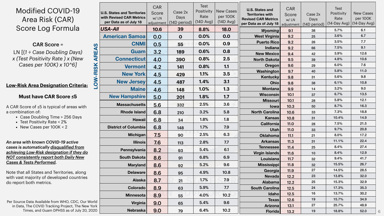- Case Doubling Time > 256 Days
- Test Positivity Rate < 2%
- New Cases per 100K < 2

|                          | <b>U.S. States and Territories</b><br>with Revised CAR Metrics<br>per Data as of July 18 | <b>CAR</b><br>Score<br>w/LN<br>adjustment | Case 2x<br>Days<br>(14D period) | <b>Test</b><br>Positivity<br>Rate<br>$(14D$ Avg) | <b>New Cases</b><br>per 100K<br>$(14D$ Avg) | <b>U.S. States and</b><br><b>Territories with</b><br><b>Revised CAR Metrics</b><br>per Data as of July 18 | <b>CAR</b><br>Score<br>w/LN<br>adjustment | Case 2x<br><b>Days</b><br>(14D period) | Test<br>Positivity<br>Rate<br>$(14$ -Day Avg) | <b>New Cases</b><br>per 100K<br>$(14$ -Day Avg) |
|--------------------------|------------------------------------------------------------------------------------------|-------------------------------------------|---------------------------------|--------------------------------------------------|---------------------------------------------|-----------------------------------------------------------------------------------------------------------|-------------------------------------------|----------------------------------------|-----------------------------------------------|-------------------------------------------------|
|                          | <b>USA-AII</b>                                                                           | 10.6                                      | 39                              | 8.8%                                             | <b>18.0</b>                                 | <b>Wyoming</b>                                                                                            | 9.1                                       | 38                                     | 5.7%                                          | 6.1                                             |
|                          | <b>American Samoa</b>                                                                    | 0.0                                       | $\mathbf 0$                     | 0.0%                                             | 0.0                                         | <b>West Virginia</b>                                                                                      | 9.2                                       | 25                                     | 3.6%                                          | 6.7                                             |
|                          | <b>CNMI</b>                                                                              | 0.5                                       | 55                              | 0.0%                                             | 0.9                                         | <b>Puerto Ricol</b>                                                                                       | 9.2                                       | 26                                     | 3.5%                                          | 7.7                                             |
|                          |                                                                                          |                                           |                                 | 0.6%                                             | 0.8                                         | <b>Indiana</b>                                                                                            | 9.2                                       | 66                                     | 7.5%                                          | 9.1                                             |
| AREAS                    | <b>Guam</b>                                                                              | 3.2                                       | 189                             |                                                  |                                             | <b>New Mexicol</b>                                                                                        | 9.4                                       | 42                                     | 3.9%                                          | 12.6                                            |
|                          | <b>Connecticut</b>                                                                       | <b>4.0</b>                                | 390                             | 0.8%                                             | 2.5                                         | <b>North Dakota</b>                                                                                       | 9.5                                       | 39                                     | 4.8%                                          | 10.6                                            |
|                          | <b>Vermont</b>                                                                           | 4.2                                       | 141                             | 0.8%                                             | 1.1                                         | <b>Oregon</b>                                                                                             | 9.6                                       | 29                                     | $6.0\%$                                       | 7.6                                             |
|                          | <b>New York</b>                                                                          | 4.5                                       | 429                             | 1.1%                                             | 3.5                                         | <b>Washington</b>                                                                                         | 9.7                                       | 40                                     | 5.8%                                          | 11.0<br>9.8                                     |
| <b>OW-RISK</b>           | <b>New Jersey</b>                                                                        | 4.5                                       | 487                             | 1.4%                                             | 3.1                                         | <b>Kentucky</b><br>Ohio                                                                                   | 9.8                                       | 31                                     | 5.6%<br>6.1%                                  | 10.8                                            |
| $\overline{\phantom{0}}$ | <b>Maine</b>                                                                             |                                           |                                 | 1.0%                                             | 1.3                                         | <b>Montana</b>                                                                                            | 9.8<br>9.9                                | 38<br>14                               | 3.2%                                          | 9.0                                             |
|                          |                                                                                          | 4.6                                       | 148                             |                                                  |                                             | <b>Wisconsin</b>                                                                                          | 10.1                                      | 37                                     | 6.7%                                          | 13.5                                            |
|                          | <b>New Hampshire</b>                                                                     | 5.0                                       | 201                             | 1.8%                                             | 1.7                                         | <b>Missouri</b>                                                                                           | 10.1                                      | 28                                     | 5.8%                                          | 12.1                                            |
|                          | <b>Massachusetts</b>                                                                     | 5.6                                       | 332                             | 2.5%                                             | 3.6                                         | Iowa                                                                                                      | 10.3                                      | 50                                     | 8.7%                                          | 16.3                                            |
|                          | <b>Rhode Island</b>                                                                      | 6.8                                       | 210                             | 3.2%                                             | 5.8                                         | <b>North Carolina</b>                                                                                     | 10.6                                      | 33                                     | 7.3%                                          | 18.8                                            |
|                          | <b>Hawaii</b>                                                                            | 6.8                                       | 34                              | 1.8%                                             | 1.8                                         | <b>Kansas</b>                                                                                             | 10.8                                      | 31                                     | 10.4%                                         | 14.9                                            |
|                          | <b>District of Columbia</b>                                                              |                                           |                                 | 1.7%                                             | 7.9                                         | <b>California</b>                                                                                         | <b>11.0</b>                               | 28                                     | 7.5%                                          | 21.5                                            |
|                          |                                                                                          | 6.8                                       | 148                             |                                                  |                                             | Utah                                                                                                      | <b>11.0</b>                               | 33                                     | $9.7\%$                                       | 20.8                                            |
|                          | <b>Michigan</b>                                                                          | 7.5                                       | 90                              | 2.5%                                             | 6.3                                         | <b>Oklahoma</b>                                                                                           | 11.1                                      | 21                                     | 8.0%                                          | 17.2                                            |
|                          | <b>Illinois</b>                                                                          | 7.6                                       | 113                             | 2.8%                                             | 7.7                                         | <b>Arkansas</b>                                                                                           | 11.3                                      | 31                                     | 11.1%                                         | 22.4                                            |
|                          | <b>Pennsylvania</b>                                                                      | 8.2                                       | 93                              | 5.4%                                             | 6.1                                         | <b>Tennessee</b>                                                                                          | 11.4                                      | 25                                     | 8.4%                                          | 27.4                                            |
|                          | <b>South Dakotal</b>                                                                     | 8.6                                       | 91                              | 6.8%                                             | 6.9                                         | <b>Virgin Islands</b>                                                                                     | 11.6                                      | 10                                     | 8.4%<br>$9.4\%$                               | 12.9<br>41.7                                    |
|                          |                                                                                          |                                           |                                 | 5.2%                                             | 9.6                                         | <b>Louisiana</b><br><b>Mississippi</b>                                                                    | 11.7<br>11.8                              | 32<br>32                               | 15.5%                                         | 26.7                                            |
|                          | <b>Maryland</b>                                                                          | 8.6                                       | 92                              |                                                  |                                             | <b>Georgia</b>                                                                                            | 11.9                                      | 27                                     | 14.5%                                         | 28.5                                            |
|                          | <b>Delaware</b>                                                                          | 8.6                                       | 95                              | 4.9%                                             | 10.8                                        | <b>Nevada</b>                                                                                             | 12.2                                      | 23                                     | 13.8%                                         | 32.0                                            |
|                          | <b>Alaska</b>                                                                            | 8.7                                       | 21                              | 1.7%                                             | 7.9                                         | <b>Alabama</b>                                                                                            | 12.2                                      | 25                                     | 15.3%                                         | 32.9                                            |
|                          | <b>Colorado</b>                                                                          | 8.9                                       | 63                              | 5.9%                                             | 7.7                                         | <b>South Carolina</b>                                                                                     | 12.5                                      | 24                                     | 17.3%                                         | 35.3                                            |
|                          | <b>Minnesota</b>                                                                         | 8.9                                       | 55                              | 4.0%                                             | 10.2                                        | Idaho                                                                                                     | 12.5                                      | 16                                     | 13.7%                                         | 30.2                                            |
| rld                      |                                                                                          |                                           |                                 | 5.4%                                             | 9.6                                         | <b>Texas</b>                                                                                              | 12.6                                      | 19                                     | 15.7%                                         | 34.9                                            |
| วrk                      | <b>Virginia</b>                                                                          | 9.0                                       | 65                              |                                                  |                                             | <b>Arizona</b>                                                                                            | 13.1                                      | 27                                     | 25.7%                                         | 48.9                                            |
| 20                       | <b>Nebraska</b>                                                                          | 9.0                                       | 79                              | 6.4%                                             | 10.2                                        | <b>Florida</b>                                                                                            | 13.2                                      | 19                                     | 18.8%                                         | 52.0                                            |

Per Source Data Available from WHO, CDC, Our World in Data, The COVID Tracking Project, The New York Times, and Guam DPHSS as of July 20, 2020

### **Low-Risk Area Designation Criteria:**

#### **Must have CAR Score ≤5**

A CAR Score of ≤5 is typical of areas with a combination of:

*An area with known COVID-19 active cases is automatically disqualified from achieving Low-Risk designation if they do NOT consistently report both Daily New Cases & Tests Performed.* 

Note that all States and Territories, along with vast majority of developed countries do report both metrics.

6

### Modified COVID-19 Area Risk (CAR) Score Log Formula

### CAR Score =

LN [(*1 ÷ Case Doubling Days) x (Test Positivity Rate ) x (New Cases per 100K) x 10^6]*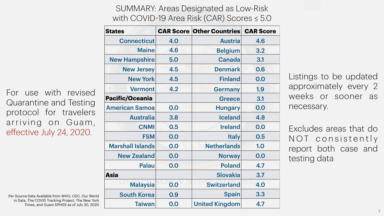| <b>States</b>           |     | <b>CAR Score Other Countries CAR Score</b> |     |
|-------------------------|-----|--------------------------------------------|-----|
| <b>Connecticut</b>      | 4.0 | <b>Austria</b>                             | 4.6 |
| <b>Maine</b>            | 4.6 | <b>Belgium</b>                             | 3.2 |
| <b>New Hampshire</b>    | 5.0 | <b>Canada</b>                              | 3.1 |
| <b>New Jersey</b>       | 4.5 | <b>Denmark</b>                             | 0.6 |
| <b>New York</b>         | 4.5 | <b>Finland</b>                             | 0.0 |
| <b>Vermont</b>          | 4.2 | <b>Germany</b>                             | 1.9 |
| <b>Pacific/Oceania</b>  |     | <b>Greece</b>                              | 3.1 |
| <b>American Samoa</b>   | 0.0 | <b>Hungary</b>                             | 0.0 |
| <b>Australia</b>        | 3.8 | <b>Iceland</b>                             | 4.8 |
| <b>CNMI</b>             | 0.5 | <b>Ireland</b>                             | 0.0 |
| <b>FSM</b>              | 0.0 | <b>Italy</b>                               | 0.5 |
| <b>Marshall Islands</b> | 0.0 | <b>Netherlands</b>                         | 1.0 |
| <b>New Zealand</b>      | 0.0 | <b>Norway</b>                              | 0.0 |
| <b>Palau</b>            | 0.0 | <b>Poland</b>                              | 4.7 |
| <b>Asia</b>             |     | <b>Slovakia</b>                            | 3.7 |
| <b>Malaysia</b>         | 0.0 | <b>Switzerland</b>                         | 4.0 |
| <b>South Korea</b>      | 0.9 | <b>Spain</b>                               | 3.3 |
| Taiwan                  | 0.0 | United Kingdom                             | 4.7 |

### SUMMARY: Areas Designated as Low-Risk with COVID-19 Area Risk (CAR) Scores ≤ 5.0

Listings to be updated approximately every 2 weeks or sooner as necessary.

Excludes areas that do N O T c on s is t e n t l y report both case and testing data





For use with revised Quarantine and Testing protocol for travelers arriving on Guam, effective July 24, 2020.

Per Source Data Available from WHO, CDC, Our World in Data, The COVID Tracking Project, The New York Times, and Guam DPHSS as of July 20, 2020

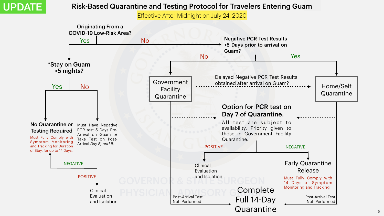

### Risk-Based Quarantine and Testing Protocol for Travelers Entering Guam

Effective After Midnight on July 24, 2020



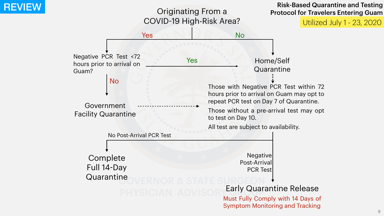### Originating From a COVID-19 High-Risk Area?

Government Facility Quarantine

Negative PCR Test <72 hours prior to arrival on Guam?

### Risk-Based Quarantine and Testing Risk-Based Quarantine and Testing<br>Originating From a Protocol for Travelers Entering Guam





No

No Post-Arrival PCR Test

GOVERNOR & STATE Complete Full 14-Day **Quarantine** 

Utilized July 1 - 23, 2020